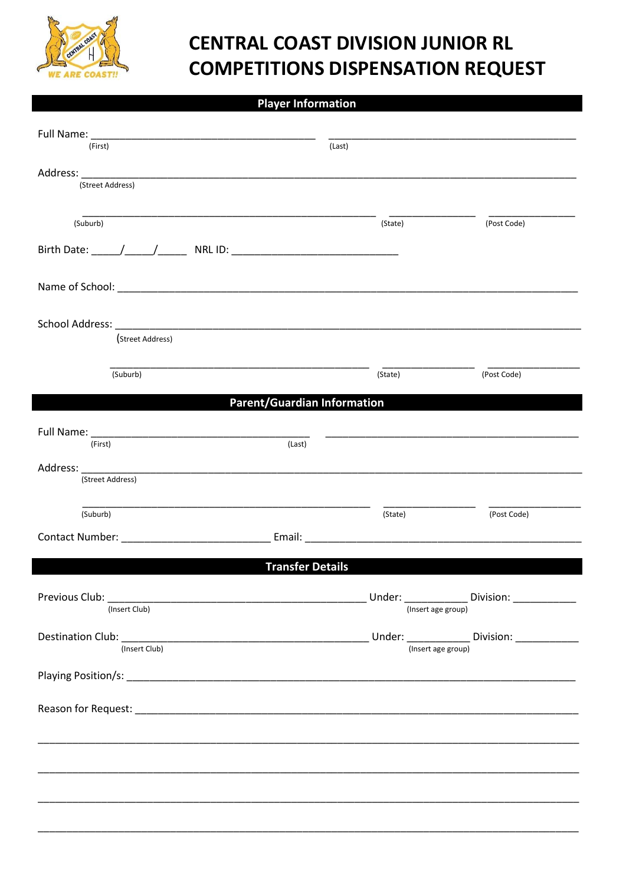

## **CENTRAL COAST DIVISION JUNIOR RL COMPETITIONS DISPENSATION REQUEST**

## **Player Information**

| (First)                                                                                                                                                                                                                                            | (Last)             |                                            |
|----------------------------------------------------------------------------------------------------------------------------------------------------------------------------------------------------------------------------------------------------|--------------------|--------------------------------------------|
| Address: Address: Address: Address: Address: Address: Address: Address: Address: Address: Address: Address: Address: Address: Address: Address: Address: Address: Address: Address: Address: Address: Address: Address: Addres<br>(Street Address) |                    |                                            |
| (Suburb)                                                                                                                                                                                                                                           | (State)            | (Post Code)                                |
|                                                                                                                                                                                                                                                    |                    |                                            |
|                                                                                                                                                                                                                                                    |                    |                                            |
| (Street Address)                                                                                                                                                                                                                                   |                    |                                            |
| (Suburb)                                                                                                                                                                                                                                           | (State)            | (Post Code)                                |
| <b>Parent/Guardian Information</b>                                                                                                                                                                                                                 |                    |                                            |
| (Last)<br>(First)                                                                                                                                                                                                                                  |                    |                                            |
| Address: ____________<br>(Street Address)                                                                                                                                                                                                          |                    |                                            |
| (Suburb)                                                                                                                                                                                                                                           | (State)            | (Post Code)                                |
| Contact Number: Email: Email:                                                                                                                                                                                                                      |                    |                                            |
| <b>Transfer Details</b>                                                                                                                                                                                                                            |                    |                                            |
| Previous Club: Note: 2008 - 2008 - 2018 - 2019 - 2019 - 2019 - 2019 - 2019 - 2019 - 2019 - 2019 - 2019 - 2019<br>(Insert Club)                                                                                                                     | (Insert age group) | Under: ____________ Division: ____________ |
| (Insert Club)                                                                                                                                                                                                                                      | (Insert age group) |                                            |
|                                                                                                                                                                                                                                                    |                    |                                            |
|                                                                                                                                                                                                                                                    |                    |                                            |
|                                                                                                                                                                                                                                                    |                    |                                            |
|                                                                                                                                                                                                                                                    |                    |                                            |
|                                                                                                                                                                                                                                                    |                    |                                            |